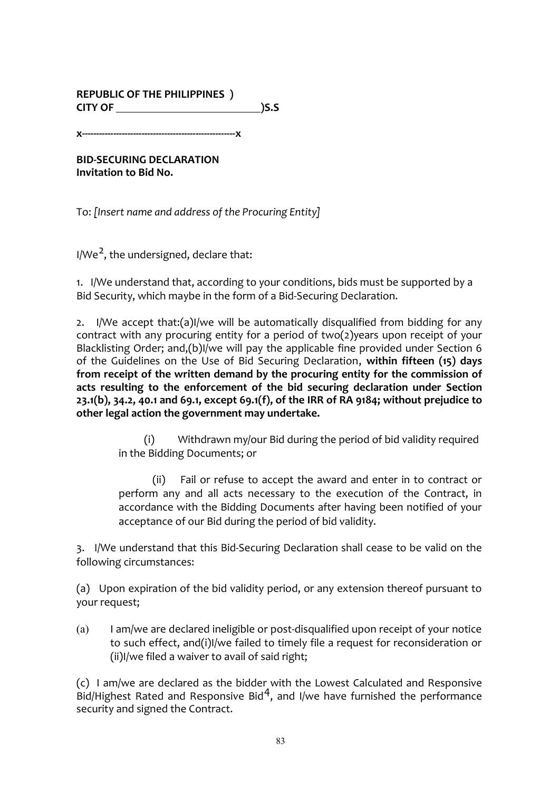#### **REPUBLIC OF THE PHILIPPINES** ) **CITY OF )S.S**

**x------------------------------------------------------x**

**BID-SECURING DECLARATION Invitation to Bid No.** 

To: [Insert name and address of the Procuring Entity]

 $I/We<sup>2</sup>$ , the undersigned, declare that:

1. I/We understand that, according to your conditions, bids must be supported by a Bid Security, which maybe in the form of a Bid-Securing Declaration.

2. I/We accept that:(a)I/we will be automatically disqualified from bidding for any contract with any procuring entity for a period of two(2)years upon receipt of your Blacklisting Order; and,(b)I/we will pay the applicable fine provided under Section 6 of the Guidelines on the Use of Bid Securing Declaration, within fifteen (15) days from receipt of the written demand by the procuring entity for the commission of acts resulting to the enforcement of the bid securing declaration under Section 23.1(b), 34.2, 40.1 and 69.1, except 69.1(f), of the IRR of RA 9184; without prejudice to other legal action the government may undertake.

> (i) Withdrawn my/our Bid during the period of bid validity required in the Bidding Documents; or

> (ii) Fail or refuse to accept the award and enter in to contract or perform any and all acts necessary to the execution of the Contract, in accordance with the Bidding Documents after having been notified of your acceptance of our Bid during the period of bid validity.

3. I/We understand that this Bid-Securing Declaration shall cease to be valid on the following circumstances:

(a) Upon expiration of the bid validity period, or any extension thereof pursuant to your request;

 $(a)$  I am/we are declared ineligible or post-disqualified upon receipt of your notice to such effect, and(i)I/we failed to timely file a request for reconsideration or  $(ii)$ I/we filed a waiver to avail of said right:

(c) I am/we are declared as the bidder with the Lowest Calculated and Responsive Bid/Highest Rated and Responsive Bid<sup>4</sup>, and I/we have furnished the performance security and signed the Contract.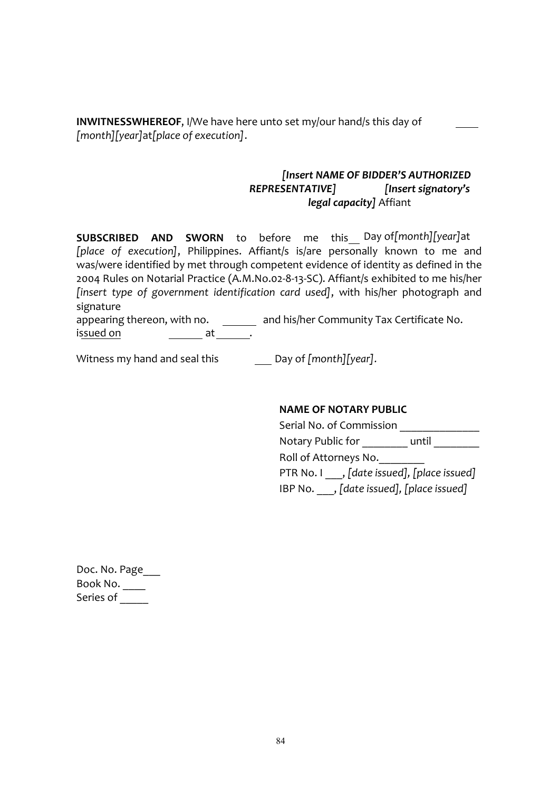**INWITNESSWHEREOF, I/We have here unto set my/our hand/s this day of** *[month][year]*at*[place of execution]*.

#### *[Insert NAME OF BIDDER'S AUTHORIZED REPRESENTATIVE] [Insert signatory's legal capacity]* Affiant

**SUBSCRIBED AND SWORN** to before me this Day of*[month][year]*at [place of execution], Philippines. Affiant/s is/are personally known to me and was/were identified by met through competent evidence of identity as defined in the 2004 Rules on Notarial Practice (A.M.No.02-8-13-SC). Affiant/s exhibited to me his/her *[insert type of government identification card used]*, with his/her photograph and signature

appearing thereon, with no.  $\qquad \qquad \qquad$  and his/her Community Tax Certificate No. issued on the set at the set of  $\overline{\phantom{a}}$  at the set of  $\overline{\phantom{a}}$ 

Witness my hand and seal this Day of [month][year].

#### **NAME OF NOTARY PUBLIC**

Serial No. of Commission \_\_\_\_\_\_\_\_\_\_\_\_\_\_ Notary Public for The Until Roll of Attorneys No. PTR No. I , [date issued], [place issued]

IBP No.  $\,$ , [date issued], [place issued]

| Doc. No. Page |
|---------------|
| Book No.      |
| Series of     |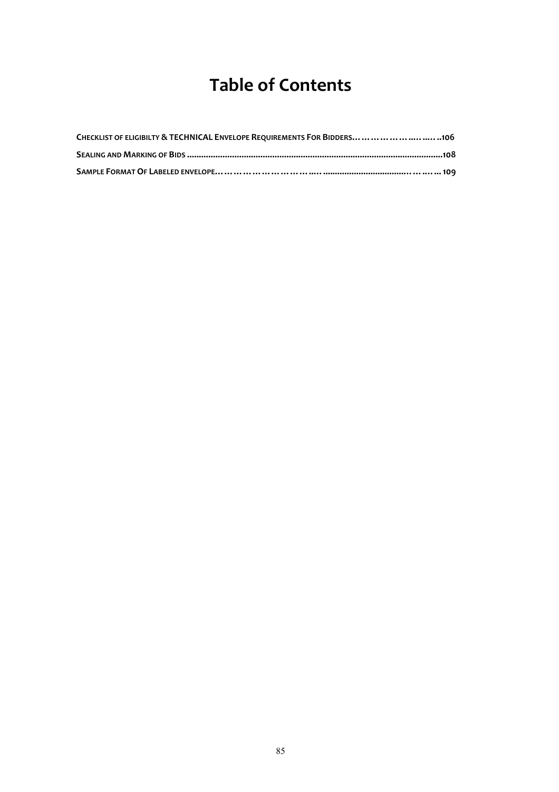# **Table of Contents**

| CHECKLIST OF ELIGIBILTY & TECHNICAL ENVELOPE REQUIREMENTS FOR BIDDERS           .106 |
|--------------------------------------------------------------------------------------|
|                                                                                      |
|                                                                                      |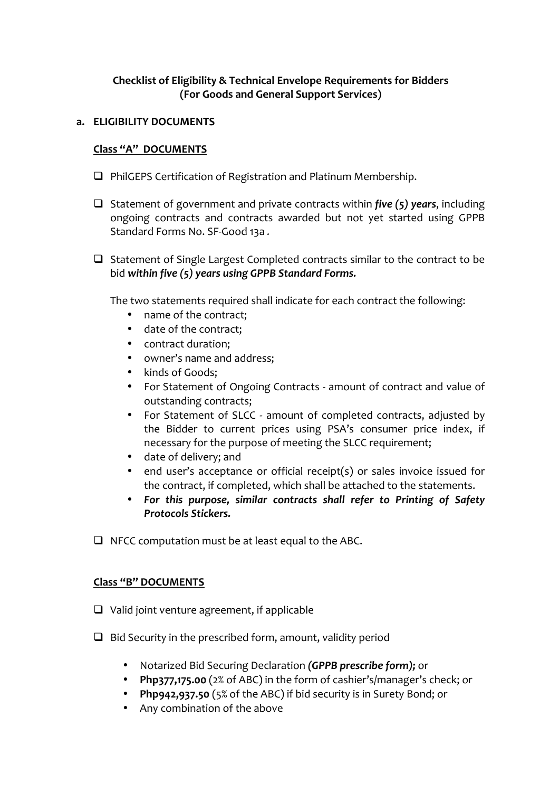### **Checklist of Eligibility & Technical Envelope Requirements for Bidders (For Goods and General Support Services)**

#### **a. ELIGIBILITY DOCUMENTS**

#### **Class "A" DOCUMENTS**

- $\Box$  PhilGEPS Certification of Registration and Platinum Membership.
- $\Box$  Statement of government and private contracts within *five* (5) years, including ongoing contracts and contracts awarded but not yet started using GPPB Standard Forms No. SF-Good 13a.
- $\Box$  Statement of Single Largest Completed contracts similar to the contract to be bid within five (5) years using GPPB Standard Forms.

The two statements required shall indicate for each contract the following:

- name of the contract;
- date of the contract:
- contract duration;
- owner's name and address;
- kinds of Goods;
- For Statement of Ongoing Contracts amount of contract and value of outstanding contracts;
- For Statement of SLCC amount of completed contracts, adjusted by the Bidder to current prices using PSA's consumer price index, if necessary for the purpose of meeting the SLCC requirement;
- date of delivery; and
- end user's acceptance or official receipt(s) or sales invoice issued for the contract, if completed, which shall be attached to the statements.
- For this purpose, similar contracts shall refer to Printing of Safety *Protocols Stickers.*
- $\Box$  NFCC computation must be at least equal to the ABC.

#### **Class "B" DOCUMENTS**

- $\Box$  Valid joint venture agreement, if applicable
- $\Box$  Bid Security in the prescribed form, amount, validity period
	- Notarized Bid Securing Declaration (GPPB prescribe form); or
	- Php377,175.00 (2% of ABC) in the form of cashier's/manager's check; or
	- **Php942,937.50** (5% of the ABC) if bid security is in Surety Bond: or
	- Any combination of the above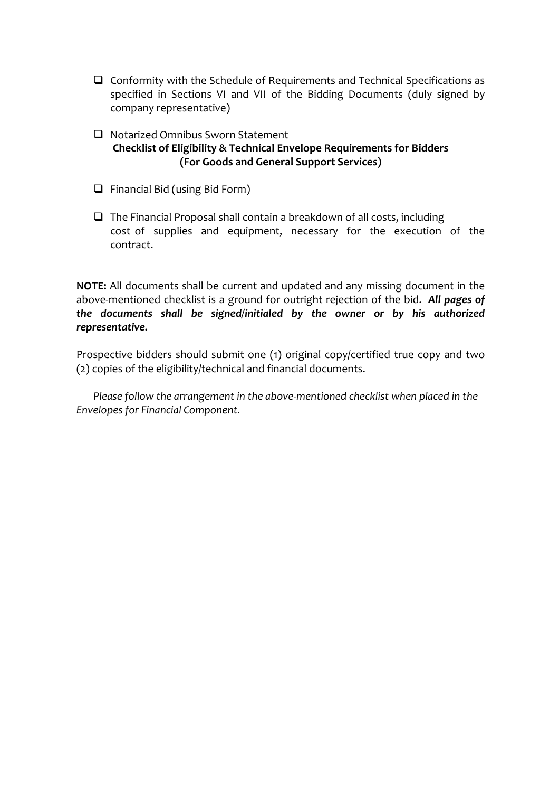- $\Box$  Conformity with the Schedule of Requirements and Technical Specifications as specified in Sections VI and VII of the Bidding Documents (duly signed by company representative)
- $\Box$  Notarized Omnibus Sworn Statement **Checklist of Eligibility & Technical Envelope Requirements for Bidders (For Goods and General Support Services)**
- $\Box$  Financial Bid (using Bid Form)
- $\Box$  The Financial Proposal shall contain a breakdown of all costs, including cost of supplies and equipment, necessary for the execution of the contract.

**NOTE:** All documents shall be current and updated and any missing document in the above-mentioned checklist is a ground for outright rejection of the bid. All pages of the documents shall be signed/initialed by the owner or by his authorized *representative.* 

Prospective bidders should submit one  $(1)$  original copy/certified true copy and two (2) copies of the eligibility/technical and financial documents.

*Please follow the arrangement in the above-mentioned checklist when placed in the Envelopes for Financial Component.*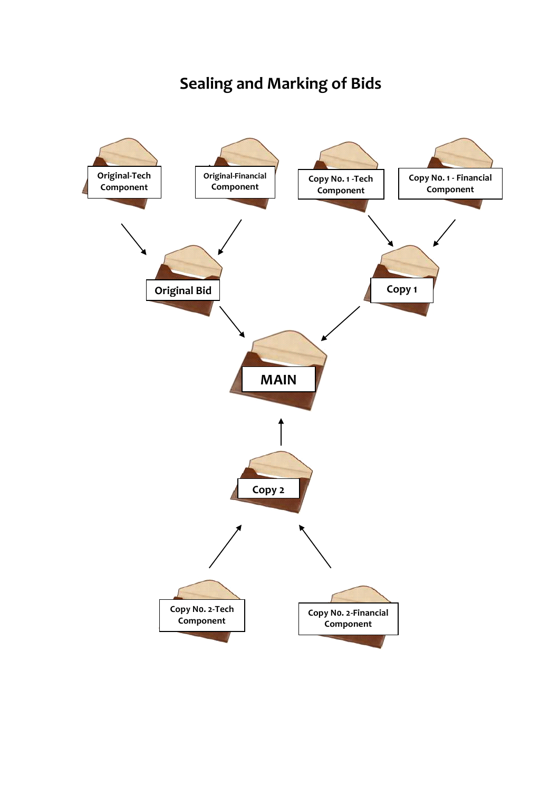### **Sealing and Marking of Bids**

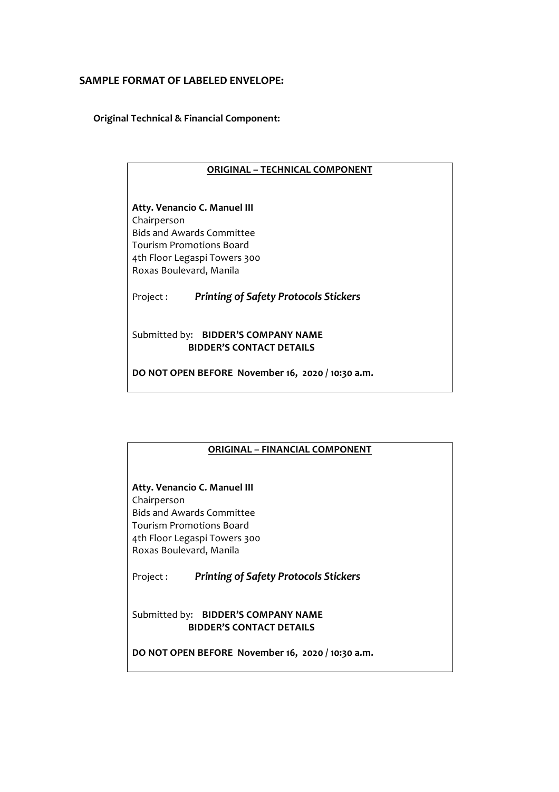#### **SAMPLE FORMAT OF LABELED ENVELOPE:**

**Original Technical & Financial Component:**

#### **ORIGINAL - TECHNICAL COMPONENT**

**Atty. Venancio C. Manuel III** Chairperson Bids and Awards Committee Tourism Promotions Board 4th Floor Legaspi Towers 300 Roxas Boulevard, Manila

Project : **Printing of Safety Protocols Stickers** 

Submitted by: **BIDDER'S COMPANY NAME BIDDER'S CONTACT DETAILS** 

**DO NOT OPEN BEFORE November 16, 2020 / 10:30 a.m.**

# **ORIGINAL – FINANCIAL COMPONENT Atty. Venancio C. Manuel III** Chairperson Bids and Awards Committee Tourism Promotions Board 4th Floor Legaspi Towers 300 Roxas Boulevard, Manila Project : **Printing of Safety Protocols Stickers** Submitted by: **BIDDER'S COMPANY NAME BIDDER'S CONTACT DETAILS** DO NOT OPEN BEFORE November 16, 2020 / 10:30 a.m.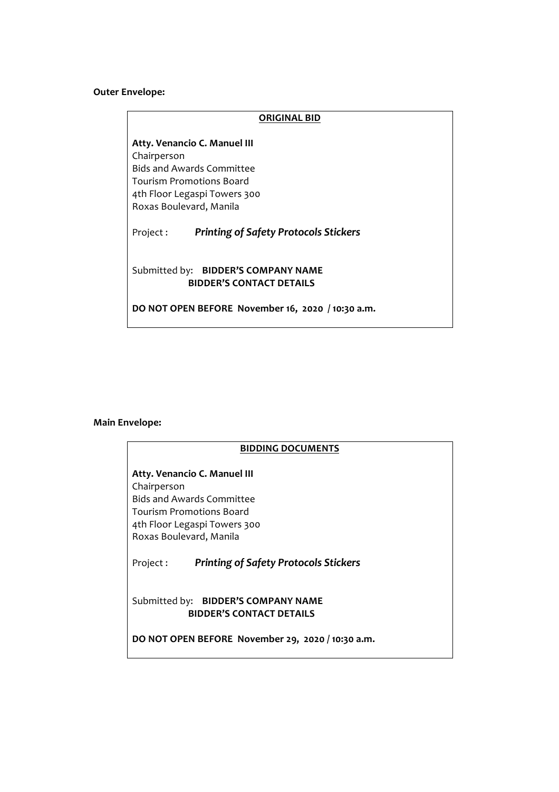#### **Outer Envelope:**

### **ORIGINAL BID Atty. Venancio C. Manuel III** Chairperson Bids and Awards Committee Tourism Promotions Board 4th Floor Legaspi Towers 300 Roxas Boulevard, Manila Project : Printing of Safety Protocols Stickers Submitted by: **BIDDER'S COMPANY NAME BIDDER'S CONTACT DETAILS** DO NOT OPEN BEFORE November 16, 2020 / 10:30 a.m.

#### **Main Envelope:**

#### **BIDDING DOCUMENTS**

**Atty. Venancio C. Manuel III** Chairperson Bids and Awards Committee Tourism Promotions Board 4th Floor Legaspi Towers 300 Roxas Boulevard, Manila

Project : Printing of Safety Protocols Stickers

Submitted by: **BIDDER'S COMPANY NAME BIDDER'S CONTACT DETAILS** 

DO NOT OPEN BEFORE November 29, 2020 / 10:30 a.m.